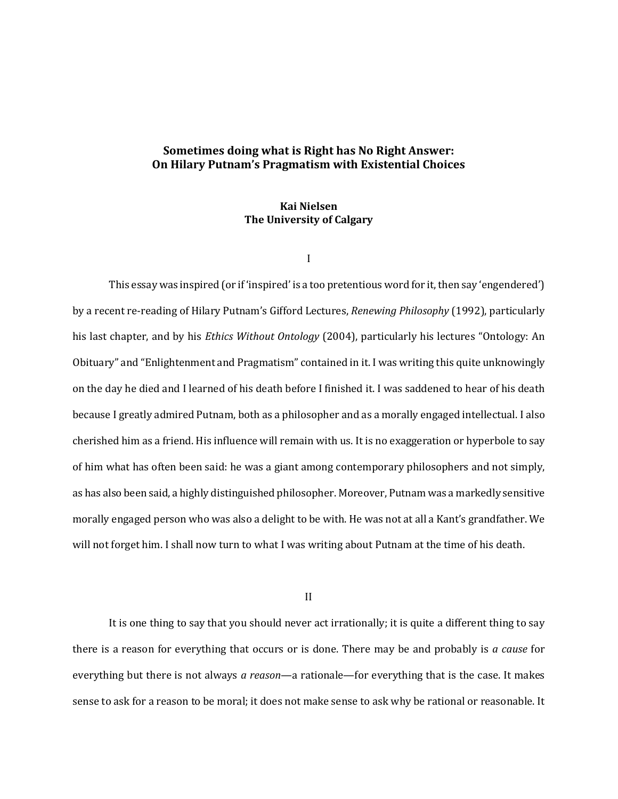## **Sometimes doing what is Right has No Right Answer: On Hilary Putnam's Pragmatism with Existential Choices**

## **Kai Nielsen The University of Calgary**

I

This essay was inspired (or if 'inspired' is a too pretentious word for it, then say 'engendered') by a recent re-reading of Hilary Putnam's Gifford Lectures, *Renewing Philosophy* (1992), particularly his last chapter, and by his *Ethics Without Ontology* (2004), particularly his lectures "Ontology: An Obituary" and "Enlightenment and Pragmatism" contained in it. I was writing this quite unknowingly on the day he died and I learned of his death before I finished it. I was saddened to hear of his death because I greatly admired Putnam, both as a philosopher and as a morally engaged intellectual. I also cherished him as a friend. His influence will remain with us. It is no exaggeration or hyperbole to say of him what has often been said: he was a giant among contemporary philosophers and not simply, as has also been said, a highly distinguished philosopher. Moreover, Putnam was a markedly sensitive morally engaged person who was also a delight to be with. He was not at all a Kant's grandfather. We will not forget him. I shall now turn to what I was writing about Putnam at the time of his death.

II

It is one thing to say that you should never act irrationally; it is quite a different thing to say there is a reason for everything that occurs or is done. There may be and probably is *a cause* for everything but there is not always *a reason*—a rationale—for everything that is the case. It makes sense to ask for a reason to be moral; it does not make sense to ask why be rational or reasonable. It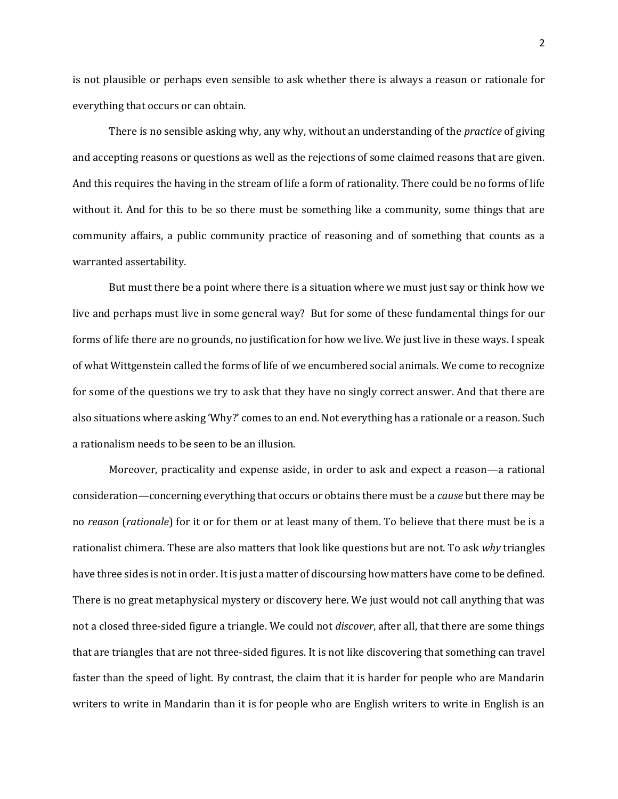is not plausible or perhaps even sensible to ask whether there is always a reason or rationale for everything that occurs or can obtain.

There is no sensible asking why, any why, without an understanding of the *practice* of giving and accepting reasons or questions as well as the rejections of some claimed reasons that are given. And this requires the having in the stream of life a form of rationality. There could be no forms of life without it. And for this to be so there must be something like a community, some things that are community affairs, a public community practice of reasoning and of something that counts as a warranted assertability.

But must there be a point where there is a situation where we must just say or think how we live and perhaps must live in some general way? But for some of these fundamental things for our forms of life there are no grounds, no justification for how we live. We just live in these ways. I speak of what Wittgenstein called the forms of life of we encumbered social animals. We come to recognize for some of the questions we try to ask that they have no singly correct answer. And that there are also situations where asking 'Why?' comes to an end. Not everything has a rationale or a reason. Such a rationalism needs to be seen to be an illusion.

Moreover, practicality and expense aside, in order to ask and expect a reason—a rational consideration—concerning everything that occurs or obtains there must be a *cause* but there may be no *reason* (*rationale*) for it or for them or at least many of them. To believe that there must be is a rationalist chimera. These are also matters that look like questions but are not. To ask *why* triangles have three sides is not in order. It is just a matter of discoursing how matters have come to be defined. There is no great metaphysical mystery or discovery here. We just would not call anything that was not a closed three-sided figure a triangle. We could not *discover*, after all, that there are some things that are triangles that are not three-sided figures. It is not like discovering that something can travel faster than the speed of light. By contrast, the claim that it is harder for people who are Mandarin writers to write in Mandarin than it is for people who are English writers to write in English is an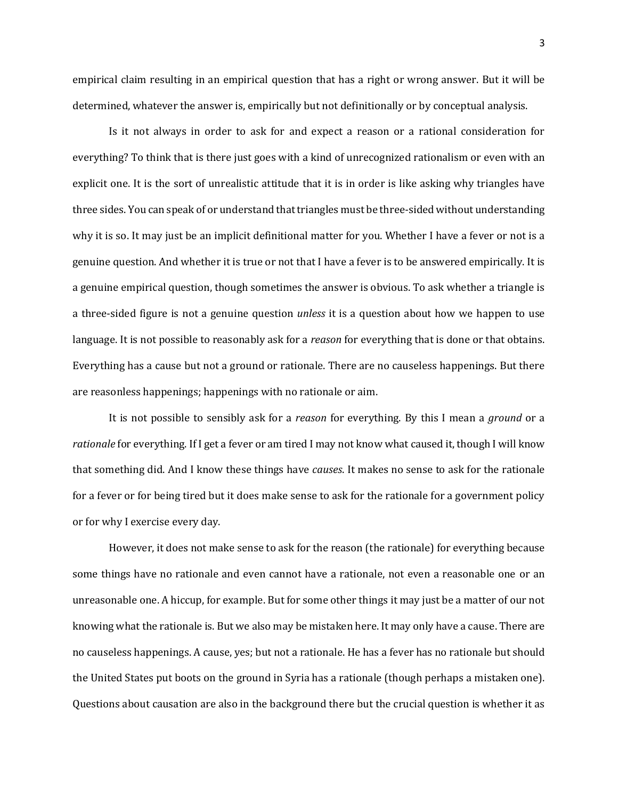empirical claim resulting in an empirical question that has a right or wrong answer. But it will be determined, whatever the answer is, empirically but not definitionally or by conceptual analysis.

Is it not always in order to ask for and expect a reason or a rational consideration for everything? To think that is there just goes with a kind of unrecognized rationalism or even with an explicit one. It is the sort of unrealistic attitude that it is in order is like asking why triangles have three sides. You can speak of or understand that triangles must be three-sided without understanding why it is so. It may just be an implicit definitional matter for you. Whether I have a fever or not is a genuine question. And whether it is true or not that I have a fever is to be answered empirically. It is a genuine empirical question, though sometimes the answer is obvious. To ask whether a triangle is a three-sided figure is not a genuine question *unless* it is a question about how we happen to use language. It is not possible to reasonably ask for a *reason* for everything that is done or that obtains. Everything has a cause but not a ground or rationale. There are no causeless happenings. But there are reasonless happenings; happenings with no rationale or aim.

It is not possible to sensibly ask for a *reason* for everything. By this I mean a *ground* or a *rationale* for everything. If I get a fever or am tired I may not know what caused it, though I will know that something did. And I know these things have *causes*. It makes no sense to ask for the rationale for a fever or for being tired but it does make sense to ask for the rationale for a government policy or for why I exercise every day.

However, it does not make sense to ask for the reason (the rationale) for everything because some things have no rationale and even cannot have a rationale, not even a reasonable one or an unreasonable one. A hiccup, for example. But for some other things it may just be a matter of our not knowing what the rationale is. But we also may be mistaken here. It may only have a cause. There are no causeless happenings. A cause, yes; but not a rationale. He has a fever has no rationale but should the United States put boots on the ground in Syria has a rationale (though perhaps a mistaken one). Questions about causation are also in the background there but the crucial question is whether it as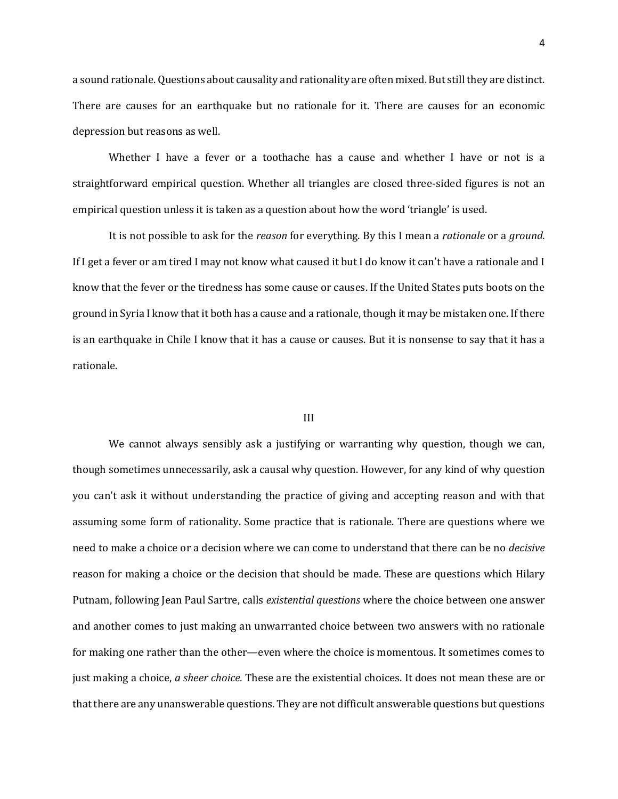a sound rationale. Questions about causality and rationality are often mixed. But still they are distinct. There are causes for an earthquake but no rationale for it. There are causes for an economic depression but reasons as well.

Whether I have a fever or a toothache has a cause and whether I have or not is a straightforward empirical question. Whether all triangles are closed three-sided figures is not an empirical question unless it is taken as a question about how the word 'triangle' is used.

It is not possible to ask for the *reason* for everything. By this I mean a *rationale* or a *ground.* If I get a fever or am tired I may not know what caused it but I do know it can't have a rationale and I know that the fever or the tiredness has some cause or causes. If the United States puts boots on the ground in Syria I know that it both has a cause and a rationale, though it may be mistaken one. If there is an earthquake in Chile I know that it has a cause or causes. But it is nonsense to say that it has a rationale.

## III

We cannot always sensibly ask a justifying or warranting why question, though we can, though sometimes unnecessarily, ask a causal why question. However, for any kind of why question you can't ask it without understanding the practice of giving and accepting reason and with that assuming some form of rationality. Some practice that is rationale. There are questions where we need to make a choice or a decision where we can come to understand that there can be no *decisive* reason for making a choice or the decision that should be made. These are questions which Hilary Putnam, following Jean Paul Sartre, calls *existential questions* where the choice between one answer and another comes to just making an unwarranted choice between two answers with no rationale for making one rather than the other—even where the choice is momentous. It sometimes comes to just making a choice, *a sheer choice.* These are the existential choices. It does not mean these are or that there are any unanswerable questions. They are not difficult answerable questions but questions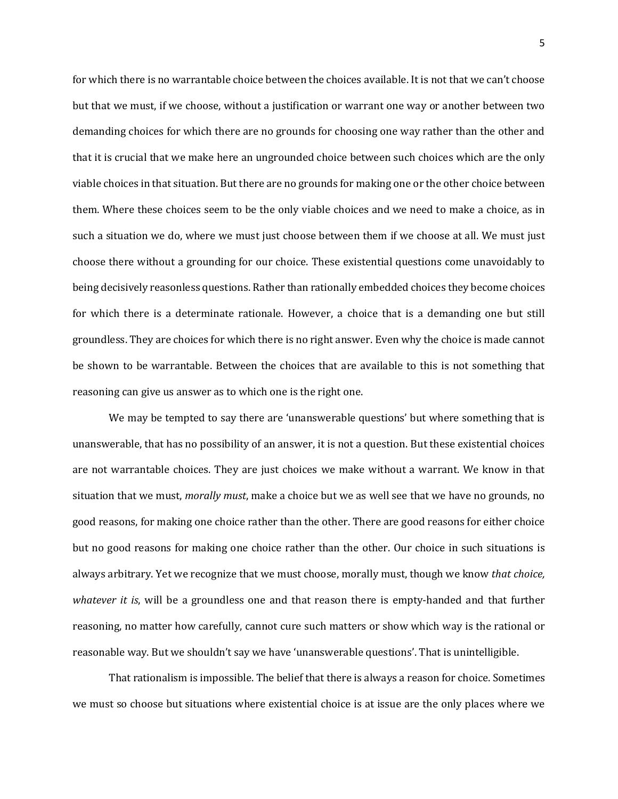for which there is no warrantable choice between the choices available. It is not that we can't choose but that we must, if we choose, without a justification or warrant one way or another between two demanding choices for which there are no grounds for choosing one way rather than the other and that it is crucial that we make here an ungrounded choice between such choices which are the only viable choices in that situation. But there are no grounds for making one or the other choice between them. Where these choices seem to be the only viable choices and we need to make a choice, as in such a situation we do, where we must just choose between them if we choose at all. We must just choose there without a grounding for our choice. These existential questions come unavoidably to being decisively reasonless questions. Rather than rationally embedded choices they become choices for which there is a determinate rationale. However, a choice that is a demanding one but still groundless. They are choices for which there is no right answer. Even why the choice is made cannot be shown to be warrantable. Between the choices that are available to this is not something that reasoning can give us answer as to which one is the right one.

We may be tempted to say there are 'unanswerable questions' but where something that is unanswerable, that has no possibility of an answer, it is not a question. But these existential choices are not warrantable choices. They are just choices we make without a warrant. We know in that situation that we must, *morally must*, make a choice but we as well see that we have no grounds, no good reasons, for making one choice rather than the other. There are good reasons for either choice but no good reasons for making one choice rather than the other. Our choice in such situations is always arbitrary. Yet we recognize that we must choose, morally must, though we know *that choice, whatever it is*, will be a groundless one and that reason there is empty-handed and that further reasoning, no matter how carefully, cannot cure such matters or show which way is the rational or reasonable way. But we shouldn't say we have 'unanswerable questions'. That is unintelligible.

That rationalism is impossible. The belief that there is always a reason for choice. Sometimes we must so choose but situations where existential choice is at issue are the only places where we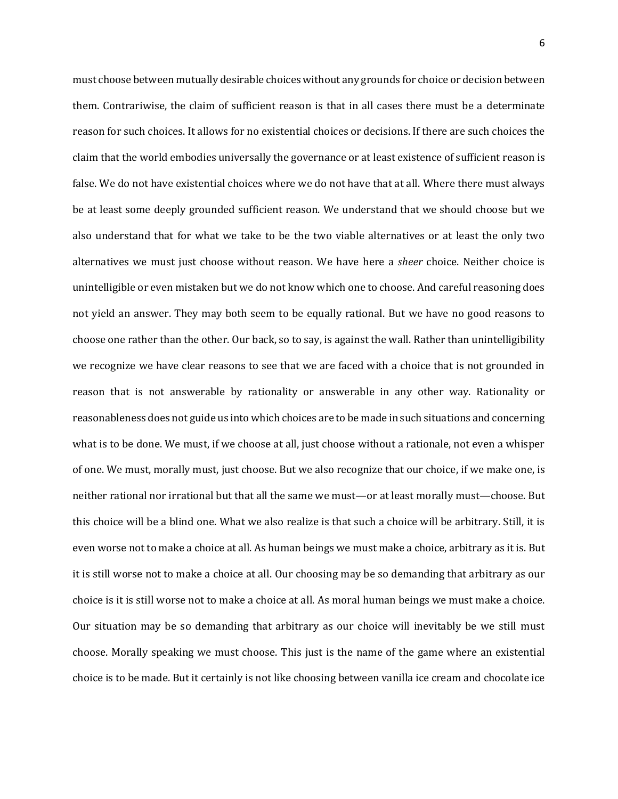must choose between mutually desirable choices without any grounds for choice or decision between them. Contrariwise, the claim of sufficient reason is that in all cases there must be a determinate reason for such choices. It allows for no existential choices or decisions. If there are such choices the claim that the world embodies universally the governance or at least existence of sufficient reason is false. We do not have existential choices where we do not have that at all. Where there must always be at least some deeply grounded sufficient reason. We understand that we should choose but we also understand that for what we take to be the two viable alternatives or at least the only two alternatives we must just choose without reason. We have here a *sheer* choice. Neither choice is unintelligible or even mistaken but we do not know which one to choose. And careful reasoning does not yield an answer. They may both seem to be equally rational. But we have no good reasons to choose one rather than the other. Our back, so to say, is against the wall. Rather than unintelligibility we recognize we have clear reasons to see that we are faced with a choice that is not grounded in reason that is not answerable by rationality or answerable in any other way. Rationality or reasonableness does not guide us into which choices are to be made in such situations and concerning what is to be done. We must, if we choose at all, just choose without a rationale, not even a whisper of one. We must, morally must, just choose. But we also recognize that our choice, if we make one, is neither rational nor irrational but that all the same we must—or at least morally must—choose. But this choice will be a blind one. What we also realize is that such a choice will be arbitrary. Still, it is even worse not to make a choice at all. As human beings we must make a choice, arbitrary as it is. But it is still worse not to make a choice at all. Our choosing may be so demanding that arbitrary as our choice is it is still worse not to make a choice at all. As moral human beings we must make a choice. Our situation may be so demanding that arbitrary as our choice will inevitably be we still must choose. Morally speaking we must choose. This just is the name of the game where an existential choice is to be made. But it certainly is not like choosing between vanilla ice cream and chocolate ice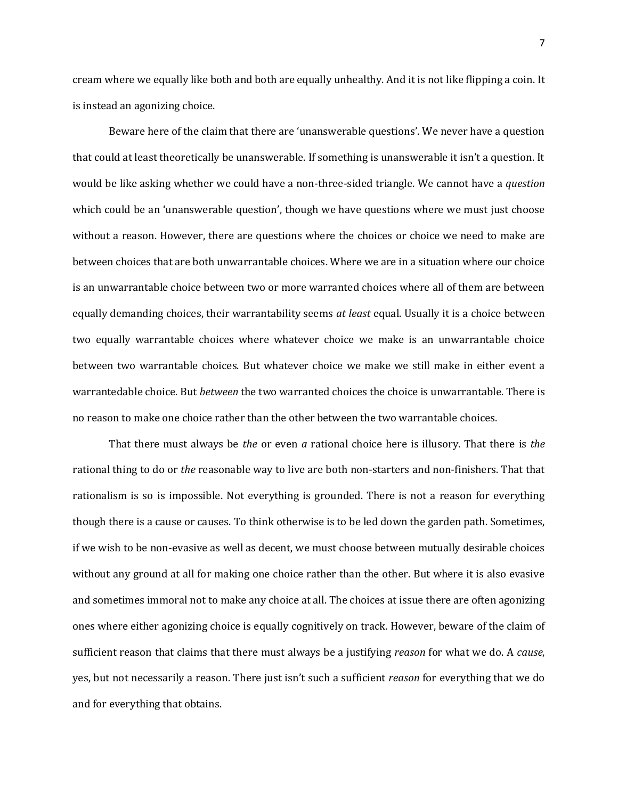cream where we equally like both and both are equally unhealthy. And it is not like flipping a coin. It is instead an agonizing choice.

Beware here of the claim that there are 'unanswerable questions'. We never have a question that could at least theoretically be unanswerable. If something is unanswerable it isn't a question. It would be like asking whether we could have a non-three-sided triangle. We cannot have a *question* which could be an 'unanswerable question', though we have questions where we must just choose without a reason. However, there are questions where the choices or choice we need to make are between choices that are both unwarrantable choices. Where we are in a situation where our choice is an unwarrantable choice between two or more warranted choices where all of them are between equally demanding choices, their warrantability seems *at least* equal. Usually it is a choice between two equally warrantable choices where whatever choice we make is an unwarrantable choice between two warrantable choices. But whatever choice we make we still make in either event a warrantedable choice. But *between* the two warranted choices the choice is unwarrantable. There is no reason to make one choice rather than the other between the two warrantable choices.

That there must always be *the* or even *a* rational choice here is illusory. That there is *the* rational thing to do or *the* reasonable way to live are both non-starters and non-finishers. That that rationalism is so is impossible. Not everything is grounded. There is not a reason for everything though there is a cause or causes. To think otherwise is to be led down the garden path. Sometimes, if we wish to be non-evasive as well as decent, we must choose between mutually desirable choices without any ground at all for making one choice rather than the other. But where it is also evasive and sometimes immoral not to make any choice at all. The choices at issue there are often agonizing ones where either agonizing choice is equally cognitively on track. However, beware of the claim of sufficient reason that claims that there must always be a justifying *reason* for what we do. A *cause*, yes, but not necessarily a reason. There just isn't such a sufficient *reason* for everything that we do and for everything that obtains.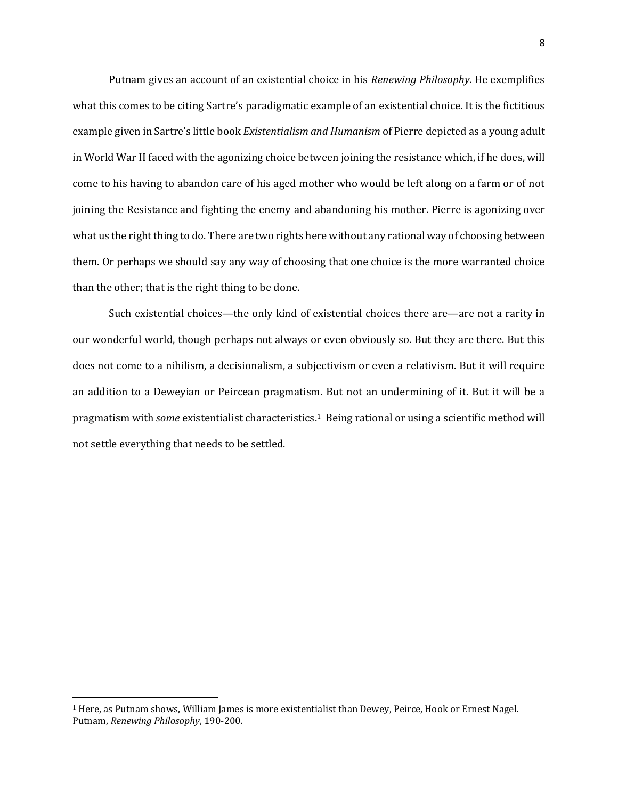Putnam gives an account of an existential choice in his *Renewing Philosophy*. He exemplifies what this comes to be citing Sartre's paradigmatic example of an existential choice. It is the fictitious example given in Sartre's little book *Existentialism and Humanism* of Pierre depicted as a young adult in World War II faced with the agonizing choice between joining the resistance which, if he does, will come to his having to abandon care of his aged mother who would be left along on a farm or of not joining the Resistance and fighting the enemy and abandoning his mother. Pierre is agonizing over what us the right thing to do. There are two rights here without any rational way of choosing between them. Or perhaps we should say any way of choosing that one choice is the more warranted choice than the other; that is the right thing to be done.

Such existential choices—the only kind of existential choices there are—are not a rarity in our wonderful world, though perhaps not always or even obviously so. But they are there. But this does not come to a nihilism, a decisionalism, a subjectivism or even a relativism. But it will require an addition to a Deweyian or Peircean pragmatism. But not an undermining of it. But it will be a pragmatism with *some* existentialist characteristics.1 Being rational or using a scientific method will not settle everything that needs to be settled.

 $\overline{\phantom{a}}$ 

<sup>1</sup> Here, as Putnam shows, William James is more existentialist than Dewey, Peirce, Hook or Ernest Nagel. Putnam, *Renewing Philosophy*, 190-200.